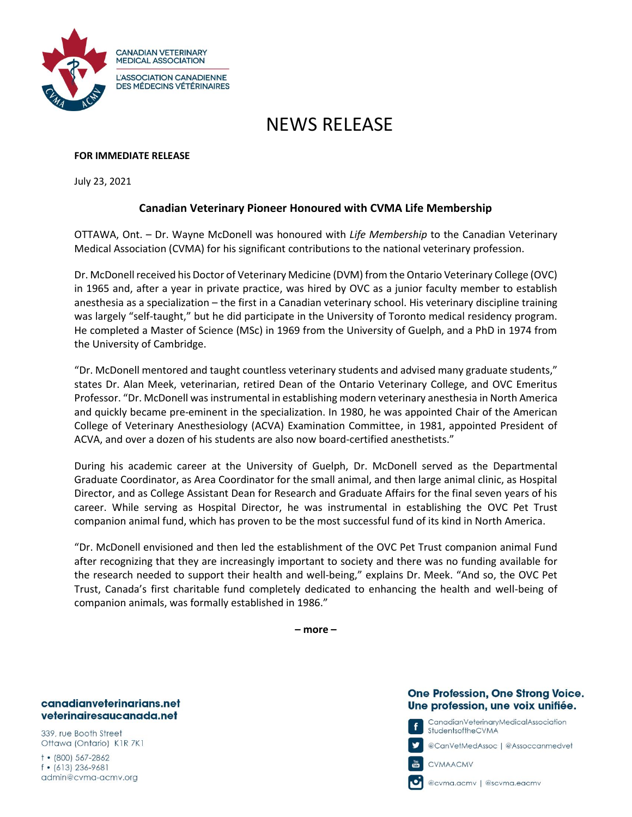

# NEWS RELEASE

## **FOR IMMEDIATE RELEASE**

July 23, 2021

# **Canadian Veterinary Pioneer Honoured with CVMA Life Membership**

OTTAWA, Ont. – Dr. Wayne McDonell was honoured with *Life Membership* to the Canadian Veterinary Medical Association (CVMA) for his significant contributions to the national veterinary profession.

Dr. McDonell received his Doctor of Veterinary Medicine (DVM) from the Ontario Veterinary College (OVC) in 1965 and, after a year in private practice, was hired by OVC as a junior faculty member to establish anesthesia as a specialization – the first in a Canadian veterinary school. His veterinary discipline training was largely "self-taught," but he did participate in the University of Toronto medical residency program. He completed a Master of Science (MSc) in 1969 from the University of Guelph, and a PhD in 1974 from the University of Cambridge.

"Dr. McDonell mentored and taught countless veterinary students and advised many graduate students," states Dr. Alan Meek, veterinarian, retired Dean of the Ontario Veterinary College, and OVC Emeritus Professor. "Dr. McDonell was instrumental in establishing modern veterinary anesthesia in North America and quickly became pre-eminent in the specialization. In 1980, he was appointed Chair of the American College of Veterinary Anesthesiology (ACVA) Examination Committee, in 1981, appointed President of ACVA, and over a dozen of his students are also now board-certified anesthetists."

During his academic career at the University of Guelph, Dr. McDonell served as the Departmental Graduate Coordinator, as Area Coordinator for the small animal, and then large animal clinic, as Hospital Director, and as College Assistant Dean for Research and Graduate Affairs for the final seven years of his career. While serving as Hospital Director, he was instrumental in establishing the OVC Pet Trust companion animal fund, which has proven to be the most successful fund of its kind in North America.

"Dr. McDonell envisioned and then led the establishment of the OVC Pet Trust companion animal Fund after recognizing that they are increasingly important to society and there was no funding available for the research needed to support their health and well-being," explains Dr. Meek. "And so, the OVC Pet Trust, Canada's first charitable fund completely dedicated to enhancing the health and well-being of companion animals, was formally established in 1986."

**– more –**

#### canadianveterinarians.net veterinairesaucanada.net

339, rue Booth Street Ottawa (Ontario) K1R 7K1

 $\dagger$  • (800) 567-2862  $f$  • (613) 236-9681 admin@cvma-acmv.org

## **One Profession, One Strong Voice.** Une profession, une voix unifiée.

CanadianVeterinaryMedicalAssociation StudentsoftheCVMA

@CanVełMedAssoc | @Assoccanmedveł

CVMAACMV

@cvma.acmv | @scvma.eacmv